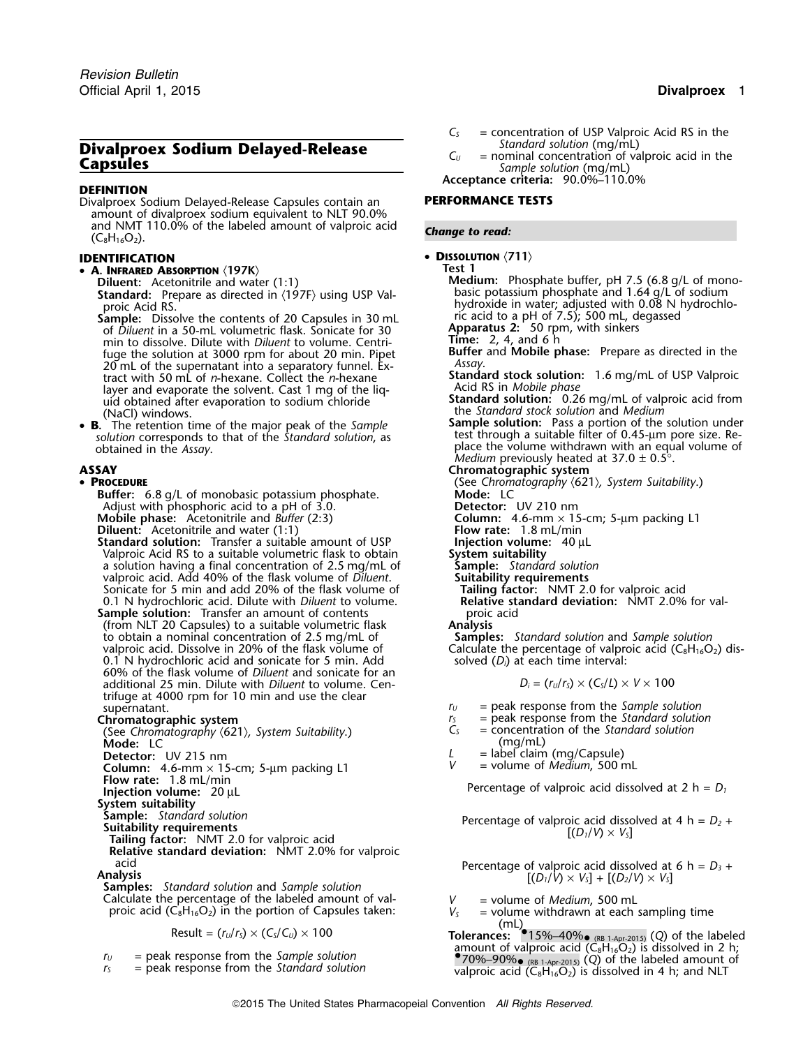# **Divalproex Sodium Delayed-Release**<br> **C**<sub>*U*</sub> = nominal concentration of valproic acid in the *Sample solution* (mg/mL)

# **DEFINITION**

Divalproex Sodium Delayed-Release Capsules contain an **PERFORMANCE TESTS** amount of divalproex sodium equivalent to NLT 90.0% and NMT 110.0% of the labeled amount of valproic acid **Change to read: Change to read: Change to read: Change to read: Change to read: Change to read: Change to read: Change to read: Change to read: Chang** 

- **<sup>A</sup>. INFRARED ABSORPTION** 〈**197K**〉 **Test 1**
	- Standard: Prepare as directed in  $\langle 197F \rangle$  using USP Valproic Acid RS.

Sample: Dissolve the contents of 20 Capsules in 30 mL of *Diluent* in a 50-mL volumetric flask. Sonicate for 30 **Apparatus 2:** 50 rpm, min to dissolve. Dilute with *Diluent* to volume. Centrimin to dissolve. Dilute with *Diluent* to volume. Centri- **Time:** 2, 4, and 6 h fuge the solution at 3000 rpm for about 20 min. Pipet **Buffer Buffer**<br>**PO** mL of the supernatant into a separatory funnel. Ex-20 mL of the supernatant into a separatory funnel. Ex-<br>tract with 50 mL of *n*-hexane. Collect the *n*-hexane layer and evaporate the solvent. Cast 1 mg of the liq-<br>uid obtained after evaporation to sodium chloride **Standard solution:** 0.26 mg/mL of valproic acid from uid obtained after evaporation to sodium chloride **(NaCl)** windows.

• **B.** solution corresponds to that of the *Standard solution*, as fest through a suitable filter of 0.45-um pore size. Re-<br>obtained in the Assay.

### • PROCEDURE

**Buffer:** 6.8 g/L of monobasic potassium phosphate. **Mode:** LC<br>Adjust with phosphoric acid to a pH of 3.0. **Detector:** UV 210 nm Adjust with phosphoric acid to a pH of 3.0. **Mobile phase:** Acetonitrile and *Buffer* (2:3) **Column:** 4.6-mm × 15-cm; 5-µm packing L1 **Diluent:** Acetonitrile and water (1:1) **Column: Flow rate:** 1.8 mL/min **Diluent:** Acetonitrile and water (1:1) **Flow rate:** 1.8 mL/min **Standard solution:** Transfer a suitable amount of USP **Finally in Exercion volume:** 40 µL **Standard solution:** Transfer a suitable amount of USP **Injection volume**<br>Valproic Acid RS to a suitable volumetric flask to obtain **System suitability** 

Valproic Acid RS to a suitable volumetric flask to obtain **System suitability** a solution having a final concentration of 2.5 mg/mL of valproic acid. Add 40% of the flask volume of *Diluent*. **Suitability requirements** Sonicate for 5 min and add 20% of the flask volume of **Tailing factor:** NMT 2.0 for valproic acid<br>
0.1 N hydrochloric acid. Dilute with *Diluent* to volume. **Relative standard deviation:** NMT 2.0% for val-0.1 N hydrochloric acid. Dilute with *Diluent* to volume.

- **Sample solution:** Transfer an amount of contents **proic acid** proic acid (from NLT 20 Capsules) to a suitable volumetric flask **Analysis** (from NLT 20 Capsules) to a suitable volumetric flask **Analysis** to obtain a nominal concentration of 2.5 mg/mL of valproic acid. Dissolve in 20% of the flask volume of 0.1 N hydrochloric acid and sonicate for 5 min. Add solved (*D<sub>i</sub>*) at each time interval: 60% of the flask volume of *Diluent* and sonicate for an *additional 25 min. Dilute with <i>Diluent* to volume. Centrifuge at 4000 rpm for 10 min and use the clear
- 

(See *Chromatography 〈621〉, System Suitability*.) *Cs* = concentration of the *Standard solution* of the *Standard s*olution of the *Standard s*olution of the *Standard Solution* (mg/mL) **Mode:** LC **C** Let the contract the contract of the contract of the contract of the contract of the contract of the contract of the contract of the contract of the contract of the contract of the contract of the contract o **Detector:** UV 215 nm<br> **Column:** 4.6-mm × 15-cm: 5-um packing L1 V = volume of *Medium*, 500 mL **Column:** 4.6-mm × 15-cm; 5-µm packing L1 *<sup>V</sup>* = volume of *Medium*, <sup>500</sup> mL

**System suitability**

**Relative standard deviation:** NMT 2.0% for valproic

**Analysis** [(*D1*/*V*) <sup>×</sup> *<sup>V</sup>S*] + [(*D2*/*V*) <sup>×</sup> *<sup>V</sup>S*] **Samples:** *Standard solution* and *Sample solution* Calculate the percentage of the labeled amount of val-<br>proic acid  $(C_8H_{16}O_2)$  in the portion of Capsules taken:<br> $V_5$  = volume withdrawn at each sampling time proic acid  $(C_8H_{16}O_2)$  in the portion of Capsules taken:  $V_S$ 

- 
- 
- $C_5$  = concentration of USP Valproic Acid RS in the Standard solution (mg/mL)
- 

**Acceptance criteria:** 90.0%–110.0%

## • **DISSOLUTION** 〈**711**〉 **IDENTIFICATION**

**Diluent:** Acetonitrile and water (1:1) **Medium:** Phosphate buffer, pH 7.5 (6.8 g/L of mono-<br>**Standard:** Prepare as directed in (197F) using USP Val-<br>**Standard:** Prepare as directed in (197F) using USP Valhydroxide in water; adjusted with 0.08 N hydrochloric acid to a pH of 7.5); 500 mL, degassed<br>**Apparatus 2:** 50 rpm, with sinkers **Standard stock solution:** 1.6 mg/mL of USP Valproic<br>Acid RS in *Mobile phase* (NaCl) windows.<br>The retention time of the major peak of the *Sample* solution: Pass a portion of the solution under<br>The retention time of the major peak of the *Sample* solution: Pass a portion of the solution under obtained in the *Assay*.<br> **ASSAY** place the volume withdrawn with an equal volume of .<br> **ASSAY Chromatographic system ASSAY Chromatographic system PROCEDURE** (See *Chromatography* 〈621〉*, System Suitability*.) Calculate the percentage of valproic acid ( $C_8H_{16}O_2$ ) dis-

$$
D_i = (r_U/r_S) \times (C_S/L) \times V \times 100
$$

- 
- $r_U$  = peak response from the *Sample solution*<br> $r_S$  = peak response from the *Standard solution*
- **Chromatographic system**<br> **Chromatographic system**<br>
(See Chromatography (621) System Suitability )  $C_5$  = concentration of the *Standard solution* 
	-
	-
	-

**Flow rate:** 1.8 mL/min Percentage of valproic acid dissolved at 2 h = *D<sup>1</sup>* **Injection volume:**<sup>20</sup> <sup>µ</sup><sup>L</sup>

Sample: Standard Solution<br>
Suitability requirements<br>
Tailing factor: NMT 2.0 for valproic acid<br>
Tailing factor: NMT 2.0 for valproic acid

acid Percentage of valproic acid dissolved at 6 h =  $D_3$  +<br>Analysis  $[(D_1/V) \times V_3] + [(D_2/V) \times V_5]$ 

- 
- 
- $(\text{mL})$ <br>Result = (*r<sub>U</sub>*/*r*<sub>S</sub>) × (*C<sub>S</sub>*/*C<sub>U</sub>*) × 100 **Tolerances:** •15%–40%• (RB 1-Apr-2015) (*Q*) of the labeled amount of valproic acid (C8H16O2) is dissolved in 2 h; *<sup>r</sup><sup>U</sup>* = peak response from the *Sample solution* • $r_s$  = peak response from the *sumple* solution<br>  $r_s$  = peak response from the *Standard solution* valproic acid (C<sub>8</sub>H<sub>16</sub>O<sub>2</sub>) is dissolved in 4 h; and NLT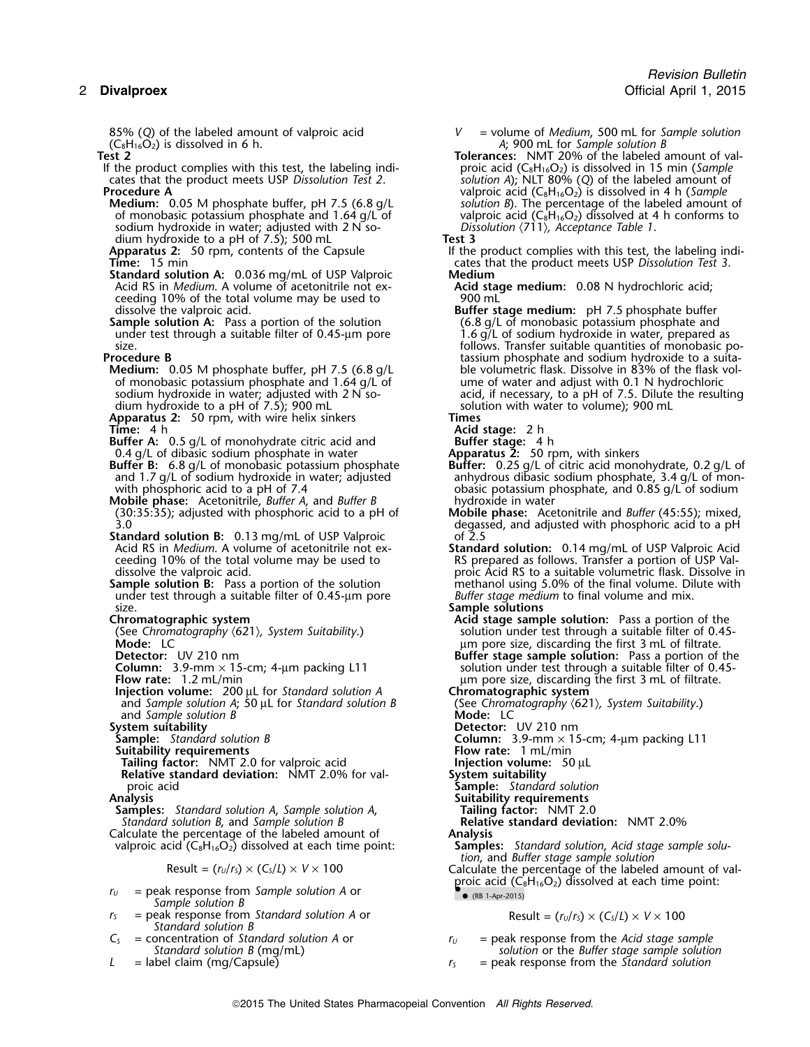85% (Q) of the labeled amount of valproic acid *V* = volume of *Medium*, 500 mL for *Sample solution*<br>(C<sub>8</sub>H<sub>16</sub>O<sub>2</sub>) is dissolved in 6 h. <br>*A*; 900 mL for *Sample solution B*  $(C_8H_1^2_6O_2^2)$  is dissolved in 6 h.<br>**Tolerances:** NMT 20% of the labeled a **Tolerances**: NMT 20% of the labeled a

- If the product complies with this test, the labeling indi- proic acid (C8H16O2) is dissolved in 15 min (*Sample* cates that the product meets USP *Dissolution Test 2*. *solution A*); NLT 80% (*Q*) of the labeled amount of
- **Medium:** 0.05 M phosphate buffer, pH 7.5 (6.8 g/L of monobasic potassium phosphate and 1.64 g/L of sodium hydroxide in water; adjusted with 2 N<sup>so-</sup> *Dis.*<br>dium hydroxide to a pH of 7.5); 500 mL **Test 3** dium hydroxide to a pH of 7.5); 500 mL<br>**Apparatus 2:** 50 rpm, contents of the Capsule
- 
- **Standard solution A:** 0.036 mg/mL of USP Valproic **Medium** ceeding 10% of the total volume may be used to dissolve the valproic acid.
- **Sample solution A:** Pass a portion of the solution under test through a suitable filter of 0.45-µm pore under test through a suitable filter of 0.45-µm pore 1.6 g/L of sodium hydroxide in water, prepared as<br>1.6 follows Transfer suitable quantities of monobasic providences
- 
- **Medium:** 0.05 M phosphate buffer, pH 7.5 (6.8 g/L ble volumetric flask. Dissolve in 83% of the flask vor monobasic potassium phosphate and 1.64 g/L of ume of water and adjust with 0.1 N hydrochloric of monobasic potassium phosphate and  $1.64$  g/L of sodium hydroxide in water; adjusted with 2 N sodium hydroxide to a pH of 7.5); 900 mL<br>**Apparatus 2:** 50 rpm, with wire helix sinkers **solumes Times**
- **Apparatus 2:** 50 rpm, with wire helix sinkers **Times**
- **Buffer A:** 0.5 g/L of monohydrate citric acid and
- 0.4 g/L of dibasic sodium phosphate in water<br>**Buffer B:** 6.8 g/L of monobasic potassium phosphate **Buffer A:** 0.5 g/L of monohydrate citric acid and<br> **Buffer stage:** 4 h<br> **Buffer:** 0.25 g/L of citric acid monohydrate, 0.2 g/L of<br> **Buffer:** 0.25 g/L of citric acid monohydrate, 0.2 g/L of<br>
and 1.7 g/L of sodium hydroxide
- **Mobile phase:** Acetonitrile, *Buffer A*, and *Buffer B* hydroxide in water<br>(30:35:35); adjusted with phosphoric acid to a pH of **Mobile phase:** Acetonitrile and *Buffer* (45:55); mixed, (30:35:35); adjusted with phosphoric acid to a pH of 3.0
- **Standard solution B:** 0.13 mg/mL of USP Valproic<br>Acid RS in *Medium*. A volume of acetonitrile not ex-
- **Sample solution B:** Pass a portion of the solution methanol using 5.0% of the final volume. Di<br>under test through a suitable filter of 0.45-µm pore *Buffer stage medium* to final volume and mix. under test through a suitable filter of 0.45-um pore size. **Sample solutions**

(See Chromatography *(621), System Suitability.*)<br>Mode: LC

- 
- **Injection volume:** 200 µL for *Standard solution A* **Chromatographic system**<br>and *Sample solution A*; 50 µL for *Standard solution B* (See *Chromatography*  $(621)$ , *System Suitability*.) and *Sample solution A*; 50 µL for *Standard solution B* (See *Chromatography and Sample solution B* and *Sample* solution B

**System suitability**<br>**Sample:** Standard solution B

**Suitability requirements**<br> **Flow rate:** 1 mL/min **Tailing factor:** NMT 2.0 for valproic acid **Figure 1 minutes Flow rate:** 50 µL

**Tailing factor:** NMT 2.0 for valproic acid **Injection volume**<br>**Relative standard deviation:** NMT 2.0% for val-<br>System suitability **Relative standard deviation:** NMT 2.0% for valproic acid proic acid **Sample:** *Standard solution*

**Samples:** *Standard solution A, Sample solution A,* **Tailing factor:** NMT 2.0<br> *Standard solution B, and Sample solution B* **Relative standard deviation:** NMT 2.0% *Standard solution B*, and *Sample solution B* **Relative Standard solution is a standard deviation: Relative standard deviation: Analysis** Calculate the percentage of the labeled amount of **Analysis**<br>valproic acid (C<sub>8</sub>H<sub>16</sub>O<sub>2</sub>) dissolved at each time point: **Samples:** Standard solution, Acid stage sample solu-

Result = 
$$
(r_u/r_s) \times (C_s/L) \times V \times 100
$$

- $r_U$  = peak response from *Sample solution A* or Sample solution B
- $r_s$  = peak response from *Standard solution A* or Result =  $(r_u/r_s) \times (C_s/L) \times V \times 100$ *Standard solution B*

Tolerances: NMT 20% of the labeled amount of val-**Procedure A**<br>**Medium:** 0.05 M phosphate buffer, pH 7.5 (6.8 g/L valproic acid (C<sub>8</sub>H<sub>16</sub>O<sub>2</sub>) is dissolved in 4 h (*Sample*<br>*Solution B*). The percentage of the labeled amount of valproic acid ( $C_8H_{16}O_2$ ) dissolved at 4 h conforms to *Dissolution*  $\langle 711 \rangle$ , *Acceptance Table 1*.

- **Apparatus 2:** 50 rpm, contents of the Capsule If the product complies with this test, the labeling indi-<br>If the product complies with this test, the labeling indi-<br>Cates that the product meets USP Dissolution Test 3. **Time:** 15 min cates that the product meets USP *Dissolution Test 3*.
	- Acid stage medium: 0.08 N hydrochloric acid;<br>900 mL
- **Buffer stage medium:** pH 7.5 phosphate buffer (6.8 g/L of monobasic potassium phosphate and size. Follows. Transfer suitable quantities of monobasic po-<br>- follows. Transfer suitable quantities of monobasic po-<br>- tassium phosphate and sodium hydroxide to a suitatassium phosphate and sodium hydroxide to a suita-<br>ble volumetric flask. Dissolve in 83% of the flask vol-

acid, if necessary, to a pH of 7.5. Dilute the resulting solution with water to volume); 900 mL

**Time:** 4 h **Acid stage:** 2 h

- 
- and 1.7 g/L of sodium hydroxide in water; adjusted anhydrous dibasic sodium phosphate, 3.4 g/L of mon-<br>with phosphoric acid to a pH of 7.4 contaggless obasic potassium phosphate, and 0.85 g/L of sodium obasic potassium phosphate, and 0.85 g/L of sodium hydroxide in water
	- degassed, and adjusted with phosphoric acid to a pH<br>of 2.5
- Acid RS in *Medium*. A volume of acetonitrile not ex-<br> **Standard solution:** 0.14 mg/mL of USP Valproic Acid<br>
RS prepared as follows. Transfer a portion of USP Valceeding 10% of the total volume may be used to entity a RS prepared as follows. Transfer a portion of USP Val-<br>
proic Acid RS to a suitable volumetric flask. Dissolve in proic Acid RS to a suitable volumetric flask. Dissolve in methanol using 5.0% of the final volume. Dilute with

- **Acid stage sample solution:** Pass a portion of the solution under test through a suitable filter of 0.45-**Mode:** LC *C* **Mode:** LC *C Mode:* **LC <b>***C C C C C C C C C C C C C C C C C C C C C C C C C C C C C* **Detector:** UV 210 nm<br>**Column:** 3.9-mm × 15-cm; 4-µm packing L11 **Buffer stage sample solution:** Pass a portion of the **Column:** 3.9-mm  $\times$  15-cm; 4-µm packing L11 solution under test through a suitable filter of 0.45-<br>Flow rate: 1.2 mL/min solution under size, discarding the first 3 mL of filtrate. **Flow rate:** 1.2 mL/min µm pore size, discarding the first 3 mL of filtrate.
	-
	-
	-

**Sample:** Detector: UV 210 nm<br> **Column:** 3.9-mm × 15-cm; 4-µm packing L11<br> **Flow rate:** 1 mL/min

- 
- 
- **Suitability requirements<br>Tailing factor: NMT 2.0**

valproic acid (C8H16O2) dissolved at each time point: **Samples:** *Standard solution*, *Acid stage sample solu-*

 $(r_U/r_S) \times (C_S/L) \times V \times 100$  Calculate the percentage of the labeled amount of valproic acid  $(C_8H_{16}O_2)$  dissolved at each time point:  $\bullet$  (RB 1-Apr-2015)

*C<sup>S</sup>* = concentration of *Standard solution A* or *<sup>r</sup><sup>U</sup>* = peak response from the *Acid stage sample Standard solution B* (mg/mL) *solution* or the *Buffer stage sample solution*

*L* = label claim (mg/Capsule) *<sup>r</sup><sup>S</sup>* = peak response from the *Standard solution*